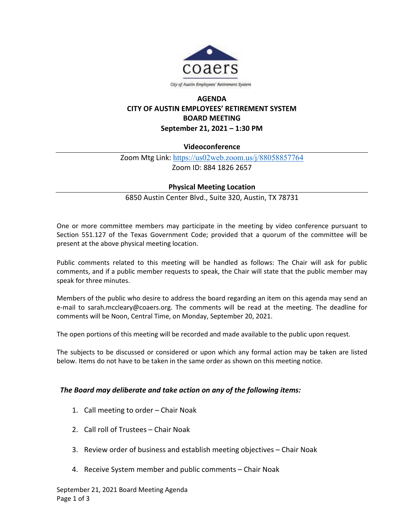

## **AGENDA CITY OF AUSTIN EMPLOYEES' RETIREMENT SYSTEM BOARD MEETING September 21, 2021 – 1:30 PM**

## **Videoconference**

Zoom Mtg Link: <https://us02web.zoom.us/j/88058857764> Zoom ID: 884 1826 2657

## **Physical Meeting Location**

6850 Austin Center Blvd., Suite 320, Austin, TX 78731

One or more committee members may participate in the meeting by video conference pursuant to Section 551.127 of the Texas Government Code; provided that a quorum of the committee will be present at the above physical meeting location.

Public comments related to this meeting will be handled as follows: The Chair will ask for public comments, and if a public member requests to speak, the Chair will state that the public member may speak for three minutes.

Members of the public who desire to address the board regarding an item on this agenda may send an e-mail to sarah.mccleary@coaers.org. The comments will be read at the meeting. The deadline for comments will be Noon, Central Time, on Monday, September 20, 2021.

The open portions of this meeting will be recorded and made available to the public upon request.

The subjects to be discussed or considered or upon which any formal action may be taken are listed below. Items do not have to be taken in the same order as shown on this meeting notice.

## *The Board may deliberate and take action on any of the following items:*

- 1. Call meeting to order Chair Noak
- 2. Call roll of Trustees Chair Noak
- 3. Review order of business and establish meeting objectives Chair Noak
- 4. Receive System member and public comments Chair Noak

September 21, 2021 Board Meeting Agenda Page 1 of 3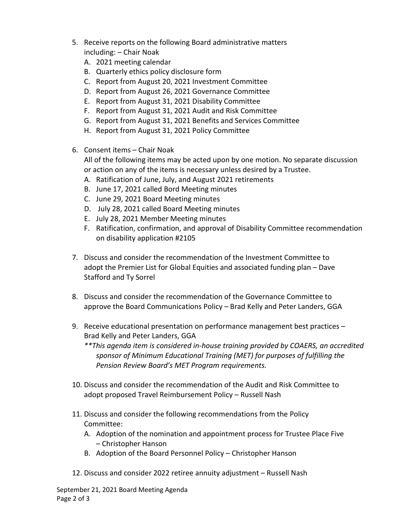- 5. Receive reports on the following Board administrative matters including: – Chair Noak
	- A. 2021 meeting calendar
	- B. Quarterly ethics policy disclosure form
	- C. Report from August 20, 2021 Investment Committee
	- D. Report from August 26, 2021 Governance Committee
	- E. Report from August 31, 2021 Disability Committee
	- F. Report from August 31, 2021 Audit and Risk Committee
	- G. Report from August 31, 2021 Benefits and Services Committee
	- H. Report from August 31, 2021 Policy Committee
- 6. Consent items Chair Noak

All of the following items may be acted upon by one motion. No separate discussion or action on any of the items is necessary unless desired by a Trustee.

- A. Ratification of June, July, and August 2021 retirements
- B. June 17, 2021 called Bord Meeting minutes
- C. June 29, 2021 Board Meeting minutes
- D. July 28, 2021 called Board Meeting minutes
- E. July 28, 2021 Member Meeting minutes
- F. Ratification, confirmation, and approval of Disability Committee recommendation on disability application #2105
- 7. Discuss and consider the recommendation of the Investment Committee to adopt the Premier List for Global Equities and associated funding plan – Dave Stafford and Ty Sorrel
- 8. Discuss and consider the recommendation of the Governance Committee to approve the Board Communications Policy – Brad Kelly and Peter Landers, GGA
- 9. Receive educational presentation on performance management best practices Brad Kelly and Peter Landers, GGA

*\*\*This agenda item is considered in-house training provided by COAERS, an accredited sponsor of Minimum Educational Training (MET) for purposes of fulfilling the Pension Review Board's MET Program requirements.*

- 10. Discuss and consider the recommendation of the Audit and Risk Committee to adopt proposed Travel Reimbursement Policy – Russell Nash
- 11. Discuss and consider the following recommendations from the Policy Committee:
	- A. Adoption of the nomination and appointment process for Trustee Place Five – Christopher Hanson
	- B. Adoption of the Board Personnel Policy Christopher Hanson
- 12. Discuss and consider 2022 retiree annuity adjustment Russell Nash